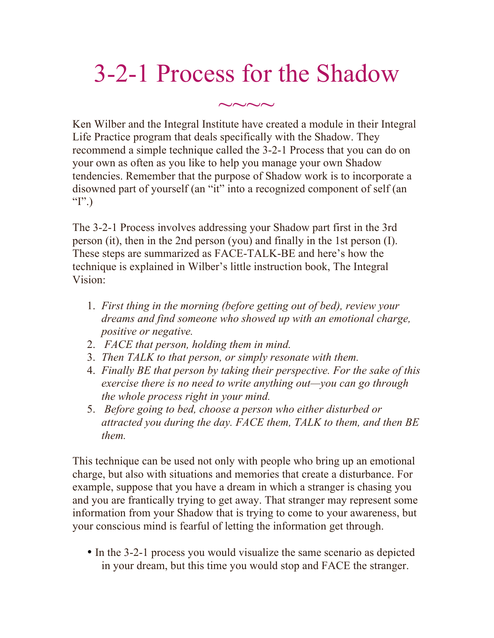## 3-2-1 Process for the Shadow

 $\sim\sim\sim\sim$ 

Ken Wilber and the Integral Institute have created a module in their Integral Life Practice program that deals specifically with the Shadow. They recommend a simple technique called the 3-2-1 Process that you can do on your own as often as you like to help you manage your own Shadow tendencies. Remember that the purpose of Shadow work is to incorporate a disowned part of yourself (an "it" into a recognized component of self (an " $I$ ".)

The 3-2-1 Process involves addressing your Shadow part first in the 3rd person (it), then in the 2nd person (you) and finally in the 1st person (I). These steps are summarized as FACE-TALK-BE and here's how the technique is explained in Wilber's little instruction book, The Integral Vision:

- 1. *First thing in the morning (before getting out of bed), review your dreams and find someone who showed up with an emotional charge, positive or negative.*
- 2. *FACE that person, holding them in mind.*
- 3. *Then TALK to that person, or simply resonate with them.*
- 4. *Finally BE that person by taking their perspective. For the sake of this exercise there is no need to write anything out—you can go through the whole process right in your mind.*
- 5. *Before going to bed, choose a person who either disturbed or attracted you during the day. FACE them, TALK to them, and then BE them.*

This technique can be used not only with people who bring up an emotional charge, but also with situations and memories that create a disturbance. For example, suppose that you have a dream in which a stranger is chasing you and you are frantically trying to get away. That stranger may represent some information from your Shadow that is trying to come to your awareness, but your conscious mind is fearful of letting the information get through.

• In the 3-2-1 process you would visualize the same scenario as depicted in your dream, but this time you would stop and FACE the stranger.